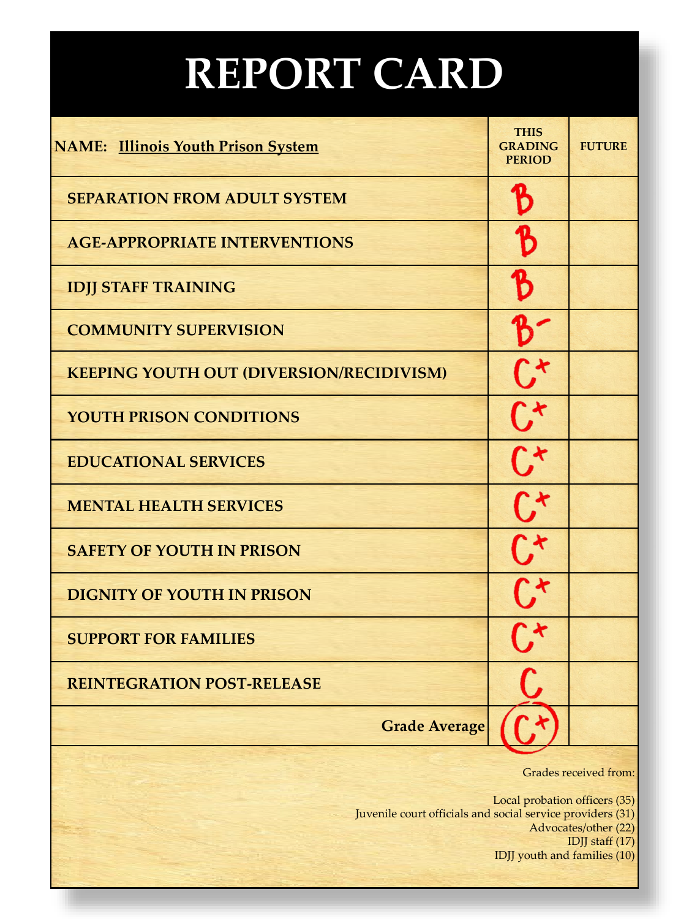## **REPORT CARD**

| <b>NAME:</b> Illinois Youth Prison System                                                                                                                                       | <b>THIS</b><br><b>GRADING</b><br><b>PERIOD</b> | <b>FUTURE</b> |
|---------------------------------------------------------------------------------------------------------------------------------------------------------------------------------|------------------------------------------------|---------------|
| <b>SEPARATION FROM ADULT SYSTEM</b>                                                                                                                                             |                                                |               |
| <b>AGE-APPROPRIATE INTERVENTIONS</b>                                                                                                                                            |                                                |               |
| <b>IDJJ STAFF TRAINING</b>                                                                                                                                                      |                                                |               |
| <b>COMMUNITY SUPERVISION</b>                                                                                                                                                    |                                                |               |
| <b>KEEPING YOUTH OUT (DIVERSION/RECIDIVISM)</b>                                                                                                                                 |                                                |               |
| <b>YOUTH PRISON CONDITIONS</b>                                                                                                                                                  |                                                |               |
| <b>EDUCATIONAL SERVICES</b>                                                                                                                                                     |                                                |               |
| <b>MENTAL HEALTH SERVICES</b>                                                                                                                                                   |                                                |               |
| <b>SAFETY OF YOUTH IN PRISON</b>                                                                                                                                                |                                                |               |
| <b>DIGNITY OF YOUTH IN PRISON</b>                                                                                                                                               |                                                |               |
| <b>SUPPORT FOR FAMILIES</b>                                                                                                                                                     |                                                |               |
| <b>REINTEGRATION POST-RELEASE</b>                                                                                                                                               |                                                |               |
| <b>Grade Average</b>                                                                                                                                                            |                                                |               |
| <b>Grades received from:</b>                                                                                                                                                    |                                                |               |
| Local probation officers (35)<br>Juvenile court officials and social service providers (31)<br>Advocates/other (22)<br>IDJJ staff $(17)$<br><b>IDJJ</b> youth and families (10) |                                                |               |